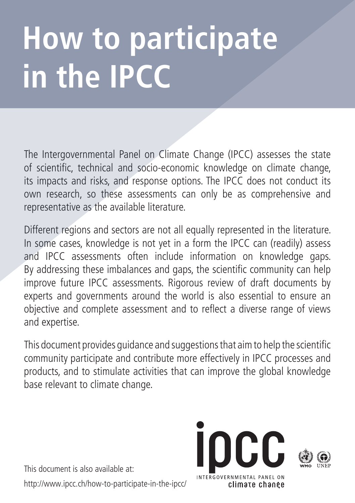# **How to participate in the IPCC**

The Intergovernmental Panel on Climate Change (IPCC) assesses the state of scientific, technical and socio-economic knowledge on climate change, its impacts and risks, and response options. The IPCC does not conduct its own research, so these assessments can only be as comprehensive and representative as the available literature.

Different regions and sectors are not all equally represented in the literature. In some cases, knowledge is not yet in a form the IPCC can (readily) assess and IPCC assessments often include information on knowledge gaps. By addressing these imbalances and gaps, the scientific community can help improve future IPCC assessments. Rigorous review of draft documents by experts and governments around the world is also essential to ensure an objective and complete assessment and to reflect a diverse range of views and expertise.

This document provides guidance and suggestions that aim to help the scientific community participate and contribute more effectively in IPCC processes and products, and to stimulate activities that can improve the global knowledge base relevant to climate change.

This document is also available at: http://www.ipcc.ch/how-to-participate-in-the-ipcc/

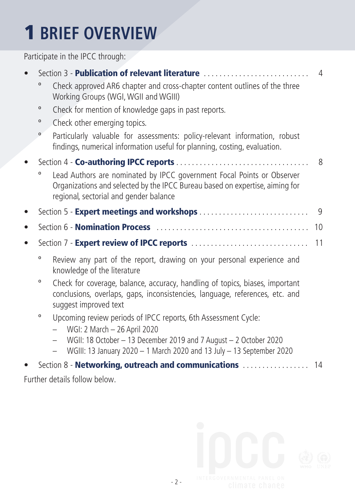#### 1 **BRIEF OVERVIEW**

Participate in the IPCC through:

| Section 3 - Publication of relevant literature |                                                                                                                                                                                                  | $\overline{4}$ |
|------------------------------------------------|--------------------------------------------------------------------------------------------------------------------------------------------------------------------------------------------------|----------------|
| 0                                              | Check approved AR6 chapter and cross-chapter content outlines of the three<br>Working Groups (WGI, WGII and WGIII)                                                                               |                |
| $\mathbf 0$                                    | Check for mention of knowledge gaps in past reports.                                                                                                                                             |                |
| $\mathbf{o}$                                   | Check other emerging topics.                                                                                                                                                                     |                |
| $\mathbf{o}$                                   | Particularly valuable for assessments: policy-relevant information, robust<br>findings, numerical information useful for planning, costing, evaluation.                                          |                |
|                                                |                                                                                                                                                                                                  | 8              |
| 0                                              | Lead Authors are nominated by IPCC government Focal Points or Observer<br>Organizations and selected by the IPCC Bureau based on expertise, aiming for<br>regional, sectorial and gender balance |                |
|                                                | Section 5 - Expert meetings and workshops                                                                                                                                                        | 9              |
|                                                |                                                                                                                                                                                                  | 10             |
|                                                |                                                                                                                                                                                                  | 11             |
| 0                                              | Review any part of the report, drawing on your personal experience and<br>knowledge of the literature                                                                                            |                |
| o                                              | Check for coverage, balance, accuracy, handling of topics, biases, important<br>conclusions, overlaps, gaps, inconsistencies, language, references, etc. and<br>suggest improved text            |                |
| $\mathbf 0$                                    | Upcoming review periods of IPCC reports, 6th Assessment Cycle:<br>WGI: 2 March - 26 April 2020                                                                                                   |                |
|                                                | WGII: 18 October - 13 December 2019 and 7 August - 2 October 2020<br>WGIII: 13 January 2020 - 1 March 2020 and 13 July - 13 September 2020                                                       |                |
|                                                | Section 8 - Networking, outreach and communications  14                                                                                                                                          |                |
|                                                | Further details follow below.                                                                                                                                                                    |                |
|                                                |                                                                                                                                                                                                  |                |

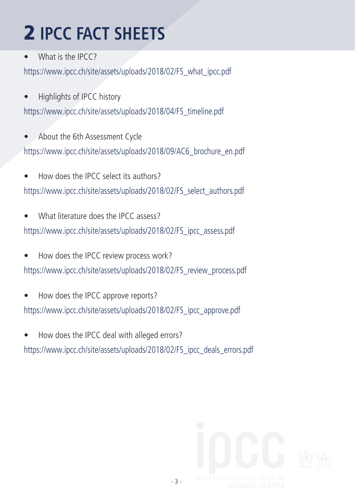# 2 **IPCC FACT SHEETS**

What is the IPCC?

https://www.ipcc.ch/site/assets/uploads/2018/02/FS\_what\_ipcc.pdf

- Highlights of IPCC history https://www.ipcc.ch/site/assets/uploads/2018/04/FS\_timeline.pdf
- About the 6th Assessment Cycle https://www.ipcc.ch/site/assets/uploads/2018/09/AC6\_brochure\_en.pdf
- How does the IPCC select its authors? https://www.ipcc.ch/site/assets/uploads/2018/02/FS\_select\_authors.pdf
- What literature does the IPCC assess? https://www.ipcc.ch/site/assets/uploads/2018/02/FS\_ipcc\_assess.pdf
- How does the IPCC review process work? https://www.ipcc.ch/site/assets/uploads/2018/02/FS\_review\_process.pdf
- How does the IPCC approve reports? https://www.ipcc.ch/site/assets/uploads/2018/02/FS\_ipcc\_approve.pdf
- How does the IPCC deal with alleged errors? https://www.ipcc.ch/site/assets/uploads/2018/02/FS\_ipcc\_deals\_errors.pdf

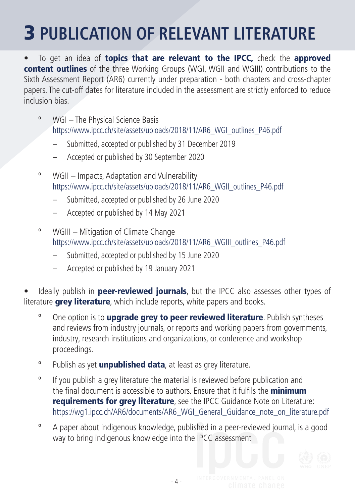#### 3 **PUBLICATION OF RELEVANT LITERATURE**

• To get an idea of topics that are relevant to the IPCC, check the approved content outlines of the three Working Groups (WGI, WGII and WGIII) contributions to the Sixth Assessment Report (AR6) currently under preparation - both chapters and cross-chapter papers. The cut-off dates for literature included in the assessment are strictly enforced to reduce inclusion bias.

- º WGI The Physical Science Basis https://www.ipcc.ch/site/assets/uploads/2018/11/AR6\_WGI\_outlines\_P46.pdf
	- Submitted, accepted or published by 31 December 2019
	- Accepted or published by 30 September 2020
- º WGII Impacts, Adaptation and Vulnerability https://www.ipcc.ch/site/assets/uploads/2018/11/AR6\_WGII\_outlines\_P46.pdf
	- Submitted, accepted or published by 26 June 2020
	- Accepted or published by 14 May 2021
- º WGIII Mitigation of Climate Change https://www.ipcc.ch/site/assets/uploads/2018/11/AR6\_WGIII\_outlines\_P46.pdf
	- Submitted, accepted or published by 15 June 2020
	- Accepted or published by 19 January 2021

Ideally publish in **peer-reviewed journals**, but the IPCC also assesses other types of literature **grey literature**, which include reports, white papers and books.

- <sup>o</sup> One option is to **upgrade grey to peer reviewed literature**. Publish syntheses and reviews from industry journals, or reports and working papers from governments, industry, research institutions and organizations, or conference and workshop proceedings.
- <sup>o</sup> Publish as yet **unpublished data**, at least as grey literature.
- º If you publish a grey literature the material is reviewed before publication and the final document is accessible to authors. Ensure that it fulfils the **minimum requirements for grey literature**, see the IPCC Guidance Note on Literature: https://wg1.jpcc.ch/AR6/documents/AR6\_WGI\_General\_Guidance\_note\_on\_literature.pdf
- º A paper about indigenous knowledge, published in a peer-reviewed journal, is a good way to bring indigenous knowledge into the IPCC assessment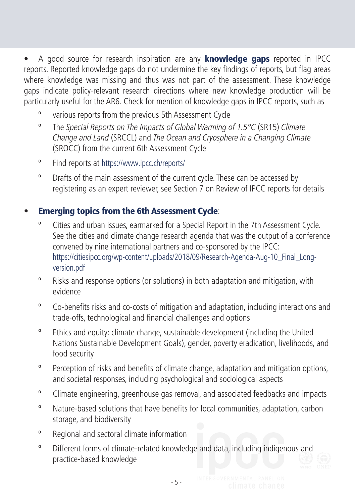• A good source for research inspiration are any **knowledge gaps** reported in IPCC reports. Reported knowledge gaps do not undermine the key findings of reports, but flag areas where knowledge was missing and thus was not part of the assessment. These knowledge gaps indicate policy-relevant research directions where new knowledge production will be particularly useful for the AR6. Check for mention of knowledge gaps in IPCC reports, such as

- various reports from the previous 5th Assessment Cycle
- º The Special Reports on The Impacts of Global Warming of 1.5°C (SR15) Climate Change and Land (SRCCL) and The Ocean and Cryosphere in a Changing Climate (SROCC) from the current 6th Assessment Cycle
- º Find reports at https://www.ipcc.ch/reports/
- º Drafts of the main assessment of the current cycle. These can be accessed by registering as an expert reviewer, see Section 7 on Review of IPCC reports for details

#### **Emerging topics from the 6th Assessment Cycle:**

- Cities and urban issues, earmarked for a Special Report in the 7th Assessment Cycle. See the cities and climate change research agenda that was the output of a conference convened by nine international partners and co-sponsored by the IPCC: https://citiesipcc.org/wp-content/uploads/2018/09/Research-Agenda-Aug-10\_Final\_Longversion.pdf
- º Risks and response options (or solutions) in both adaptation and mitigation, with evidence
- º Co-benefits risks and co-costs of mitigation and adaptation, including interactions and trade-offs, technological and financial challenges and options
- º Ethics and equity: climate change, sustainable development (including the United Nations Sustainable Development Goals), gender, poverty eradication, livelihoods, and food security
- º Perception of risks and benefits of climate change, adaptation and mitigation options, and societal responses, including psychological and sociological aspects
- º Climate engineering, greenhouse gas removal, and associated feedbacks and impacts
- º Nature-based solutions that have benefits for local communities, adaptation, carbon storage, and biodiversity
- º Regional and sectoral climate information
- º Different forms of climate-related knowledge and data, including indigenous and practice-based knowledge

- 5 -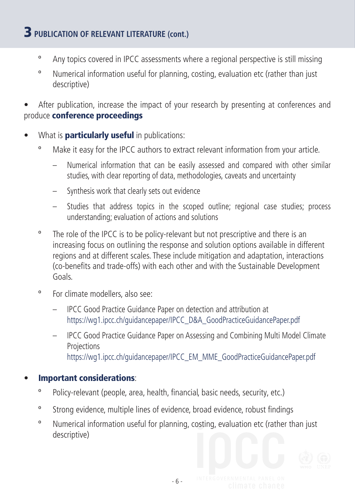#### 3 **PUBLICATION OF RELEVANT LITERATURE (cont.)**

- º Any topics covered in IPCC assessments where a regional perspective is still missing
- º Numerical information useful for planning, costing, evaluation etc (rather than just descriptive)

After publication, increase the impact of your research by presenting at conferences and produce conference proceedings

- What is **particularly useful** in publications:
	- º Make it easy for the IPCC authors to extract relevant information from your article.
		- Numerical information that can be easily assessed and compared with other similar studies, with clear reporting of data, methodologies, caveats and uncertainty
		- Synthesis work that clearly sets out evidence
		- Studies that address topics in the scoped outline; regional case studies; process understanding; evaluation of actions and solutions
	- <sup>o</sup> The role of the IPCC is to be policy-relevant but not prescriptive and there is an increasing focus on outlining the response and solution options available in different regions and at different scales. These include mitigation and adaptation, interactions (co-benefits and trade-offs) with each other and with the Sustainable Development Goals.
	- º For climate modellers, also see:
		- IPCC Good Practice Guidance Paper on detection and attribution at https://wg1.ipcc.ch/guidancepaper/IPCC\_D&A\_GoodPracticeGuidancePaper.pdf
		- IPCC Good Practice Guidance Paper on Assessing and Combining Multi Model Climate **Projections** https://wg1.ipcc.ch/guidancepaper/IPCC\_EM\_MME\_GoodPracticeGuidancePaper.pdf

#### Important considerations:

- º Policy-relevant (people, area, health, financial, basic needs, security, etc.)
- º Strong evidence, multiple lines of evidence, broad evidence, robust findings
- º Numerical information useful for planning, costing, evaluation etc (rather than just descriptive)

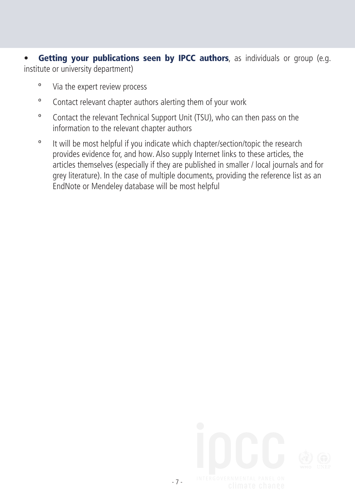• Getting your publications seen by IPCC authors, as individuals or group (e.g. institute or university department)

- º Via the expert review process
- º Contact relevant chapter authors alerting them of your work
- º Contact the relevant Technical Support Unit (TSU), who can then pass on the information to the relevant chapter authors
- º It will be most helpful if you indicate which chapter/section/topic the research provides evidence for, and how. Also supply Internet links to these articles, the articles themselves (especially if they are published in smaller / local journals and for grey literature). In the case of multiple documents, providing the reference list as an EndNote or Mendeley database will be most helpful

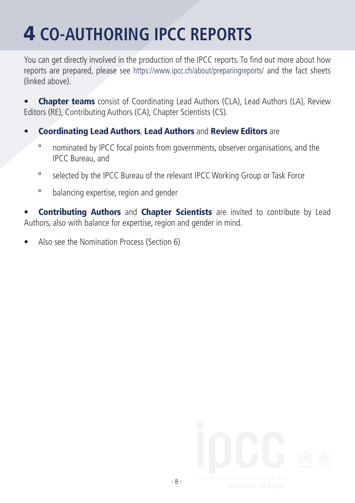## 4 **CO-AUTHORING IPCC REPORTS**

You can get directly involved in the production of the IPCC reports. To find out more about how reports are prepared, please see https://www.ipcc.ch/about/preparingreports/ and the fact sheets (linked above).

**Chapter teams** consist of Coordinating Lead Authors (CLA), Lead Authors (LA), Review Editors (RE), Contributing Authors (CA), Chapter Scientists (CS).

- Coordinating Lead Authors, Lead Authors and Review Editors are
	- º nominated by IPCC focal points from governments, observer organisations, and the IPCC Bureau, and
	- º selected by the IPCC Bureau of the relevant IPCC Working Group or Task Force
	- º balancing expertise, region and gender

Contributing Authors and Chapter Scientists are invited to contribute by Lead Authors, also with balance for expertise, region and gender in mind.

• Also see the Nomination Process (Section 6)

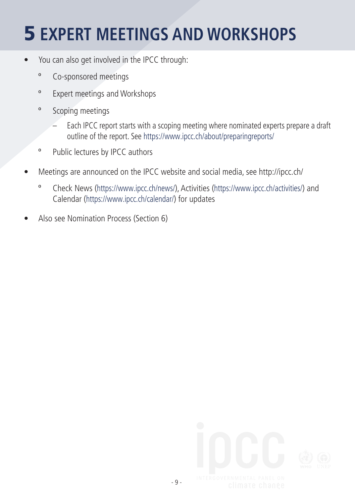#### 5 **EXPERT MEETINGS AND WORKSHOPS**

- You can also get involved in the IPCC through:
	- º Co-sponsored meetings
	- º Expert meetings and Workshops
	- º Scoping meetings
		- Each IPCC report starts with a scoping meeting where nominated experts prepare a draft outline of the report. See https://www.ipcc.ch/about/preparingreports/
	- º Public lectures by IPCC authors
- Meetings are announced on the IPCC website and social media, see http://ipcc.ch/
	- º Check News (https://www.ipcc.ch/news/), Activities (https://www.ipcc.ch/activities/) and Calendar (https://www.ipcc.ch/calendar/) for updates
- Also see Nomination Process (Section 6)

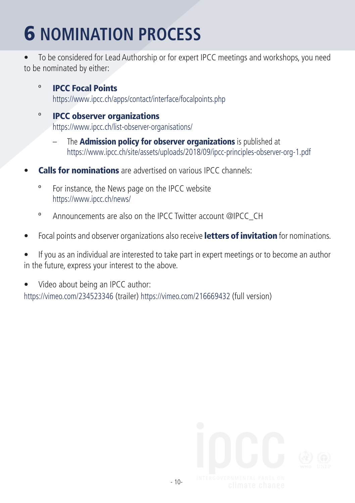### 6 **NOMINATION PROCESS**

• To be considered for Lead Authorship or for expert IPCC meetings and workshops, you need to be nominated by either:

- º IPCC Focal Points https://www.ipcc.ch/apps/contact/interface/focalpoints.php
- º IPCC observer organizations https://www.ipcc.ch/list-observer-organisations/
	- The **Admission policy for observer organizations** is published at https://www.ipcc.ch/site/assets/uploads/2018/09/ipcc-principles-observer-org-1.pdf
- **Calls for nominations** are advertised on various IPCC channels:
	- º For instance, the News page on the IPCC website https://www.ipcc.ch/news/
	- º Announcements are also on the IPCC Twitter account @IPCC\_CH
- Focal points and observer organizations also receive letters of invitation for nominations.
- If you as an individual are interested to take part in expert meetings or to become an author in the future, express your interest to the above.
- Video about being an IPCC author: https://vimeo.com/234523346 (trailer) https://vimeo.com/216669432 (full version)

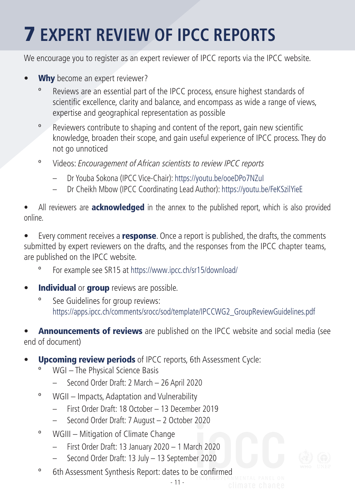### 7 **EXPERT REVIEW OF IPCC REPORTS**

We encourage you to register as an expert reviewer of IPCC reports via the IPCC website.

- Why become an expert reviewer?
	- Reviews are an essential part of the IPCC process, ensure highest standards of scientific excellence, clarity and balance, and encompass as wide a range of views, expertise and geographical representation as possible
	- º Reviewers contribute to shaping and content of the report, gain new scientific knowledge, broaden their scope, and gain useful experience of IPCC process. They do not go unnoticed
	- º Videos: Encouragement of African scientists to review IPCC reports
		- Dr Youba Sokona (IPCC Vice-Chair): https://youtu.be/ooeDPo7NZuI
		- Dr Cheikh Mbow (IPCC Coordinating Lead Author): https://youtu.be/FeKSzilYieE

All reviewers are **acknowledged** in the annex to the published report, which is also provided online.

Every comment receives a response. Once a report is published, the drafts, the comments submitted by expert reviewers on the drafts, and the responses from the IPCC chapter teams, are published on the IPCC website.

- For example see SR15 at https://www.ipcc.ch/sr15/download/
- **Individual or group** reviews are possible.
	- º See Guidelines for group reviews: https://apps.ipcc.ch/comments/srocc/sod/template/IPCCWG2\_GroupReviewGuidelines.pdf

**Announcements of reviews** are published on the IPCC website and social media (see end of document)

- **Upcoming review periods** of IPCC reports, 6th Assessment Cycle:
	- WGI The Physical Science Basis
		- Second Order Draft: 2 March 26 April 2020
	- º WGII Impacts, Adaptation and Vulnerability
		- First Order Draft: 18 October 13 December 2019
		- Second Order Draft: 7 August 2 October 2020
	- º WGIII Mitigation of Climate Change
		- First Order Draft: 13 January 2020 1 March 2020
		- Second Order Draft: 13 July 13 September 2020
	- º 6th Assessment Synthesis Report: dates to be confirmed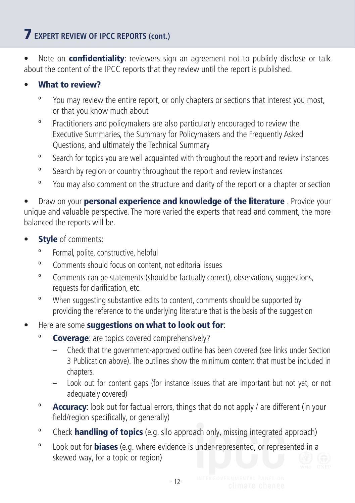#### 7 **EXPERT REVIEW OF IPCC REPORTS (cont.)**

• Note on **confidentiality**: reviewers sign an agreement not to publicly disclose or talk about the content of the IPCC reports that they review until the report is published.

#### What to review?

- º You may review the entire report, or only chapters or sections that interest you most, or that you know much about
- º Practitioners and policymakers are also particularly encouraged to review the Executive Summaries, the Summary for Policymakers and the Frequently Asked Questions, and ultimately the Technical Summary
- º Search for topics you are well acquainted with throughout the report and review instances
- º Search by region or country throughout the report and review instances
- º You may also comment on the structure and clarity of the report or a chapter or section

Draw on your **personal experience and knowledge of the literature** . Provide your unique and valuable perspective. The more varied the experts that read and comment, the more balanced the reports will be.

- **Style** of comments:
	- Formal, polite, constructive, helpful
	- º Comments should focus on content, not editorial issues
	- º Comments can be statements (should be factually correct), observations, suggestions, requests for clarification, etc.
	- º When suggesting substantive edits to content, comments should be supported by providing the reference to the underlying literature that is the basis of the suggestion
- Here are some suggestions on what to look out for:
	- <sup>o</sup> Coverage: are topics covered comprehensively?
		- Check that the government-approved outline has been covered (see links under Section 3 Publication above). The outlines show the minimum content that must be included in chapters.
		- Look out for content gaps (for instance issues that are important but not yet, or not adequately covered)
	- <sup>o</sup> **Accuracy**: look out for factual errors, things that do not apply / are different (in your field/region specifically, or generally)
	- <sup>o</sup> Check **handling of topics** (e.g. silo approach only, missing integrated approach)
	- <sup>o</sup> Look out for **biases** (e.g. where evidence is under-represented, or represented in a skewed way, for a topic or region)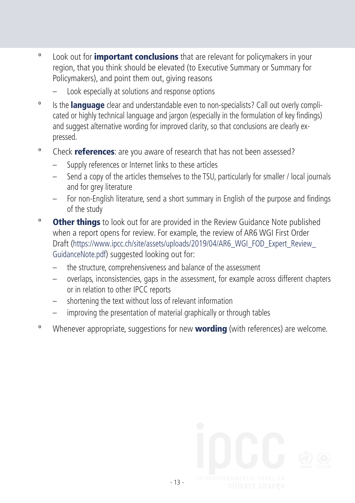- <sup>o</sup> Look out for **important conclusions** that are relevant for policymakers in your region, that you think should be elevated (to Executive Summary or Summary for Policymakers), and point them out, giving reasons
	- Look especially at solutions and response options
- <sup>o</sup> Is the **language** clear and understandable even to non-specialists? Call out overly complicated or highly technical language and jargon (especially in the formulation of key findings) and suggest alternative wording for improved clarity, so that conclusions are clearly expressed.
- <sup>o</sup> Check **references**: are you aware of research that has not been assessed?
	- Supply references or Internet links to these articles
	- Send a copy of the articles themselves to the TSU, particularly for smaller / local journals and for grey literature
	- For non-English literature, send a short summary in English of the purpose and findings of the study
- <sup>o</sup> Other things to look out for are provided in the Review Guidance Note published when a report opens for review. For example, the review of AR6 WGI First Order Draft (https://www.ipcc.ch/site/assets/uploads/2019/04/AR6\_WGI\_FOD\_Expert\_Review\_ GuidanceNote.pdf) suggested looking out for:
	- the structure, comprehensiveness and balance of the assessment
	- overlaps, inconsistencies, gaps in the assessment, for example across different chapters or in relation to other IPCC reports
	- shortening the text without loss of relevant information
	- improving the presentation of material graphically or through tables
- <sup>o</sup> Whenever appropriate, suggestions for new **wording** (with references) are welcome.

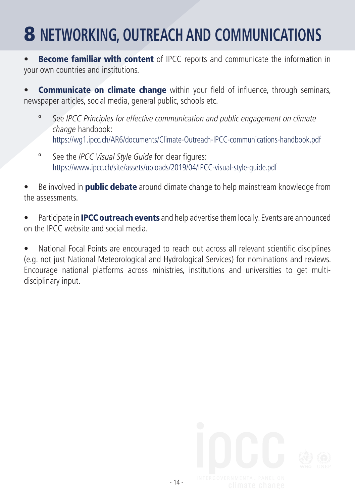#### 8 **NETWORKING, OUTREACH AND COMMUNICATIONS**

**Become familiar with content** of IPCC reports and communicate the information in your own countries and institutions.

**Communicate on climate change** within your field of influence, through seminars, newspaper articles, social media, general public, schools etc.

- See IPCC Principles for effective communication and public engagement on climate change handbook: https://wg1.ipcc.ch/AR6/documents/Climate-Outreach-IPCC-communications-handbook.pdf
- º See the IPCC Visual Style Guide for clear figures: https://www.ipcc.ch/site/assets/uploads/2019/04/IPCC-visual-style-guide.pdf

Be involved in **public debate** around climate change to help mainstream knowledge from the assessments.

Participate in **IPCC outreach events** and help advertise them locally. Events are announced on the IPCC website and social media.

• National Focal Points are encouraged to reach out across all relevant scientific disciplines (e.g. not just National Meteorological and Hydrological Services) for nominations and reviews. Encourage national platforms across ministries, institutions and universities to get multidisciplinary input.

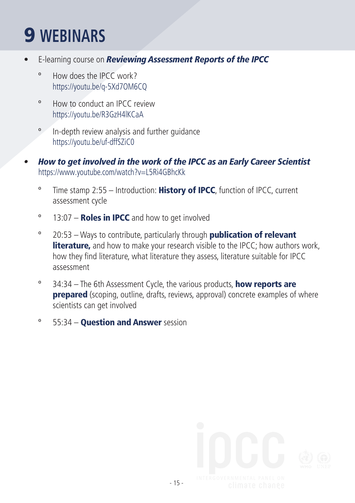#### 9 **WEBINARS**

- E-learning course on *Reviewing Assessment Reports of the IPCC*
	- º How does the IPCC work? https://youtu.be/q-5Xd7OM6CQ
	- º How to conduct an IPCC review https://youtu.be/R3GzH4lKCaA
	- º In-depth review analysis and further guidance https://youtu.be/uf-dffSZiC0
- *• How to get involved in the work of the IPCC as an Early Career Scientist* https://www.youtube.com/watch?v=L5Ri4GBhcKk
	- $\degree$  Time stamp 2:55 Introduction: History of IPCC, function of IPCC, current assessment cycle
	- $\degree$  13:07 **Roles in IPCC** and how to get involved
	- $°$  20:53 Ways to contribute, particularly through **publication of relevant** literature, and how to make your research visible to the IPCC; how authors work, how they find literature, what literature they assess, literature suitable for IPCC assessment
	- $\degree$  34:34 The 6th Assessment Cycle, the various products, **how reports are prepared** (scoping, outline, drafts, reviews, approval) concrete examples of where scientists can get involved
	- <sup>o</sup> 55:34 **Question and Answer** session